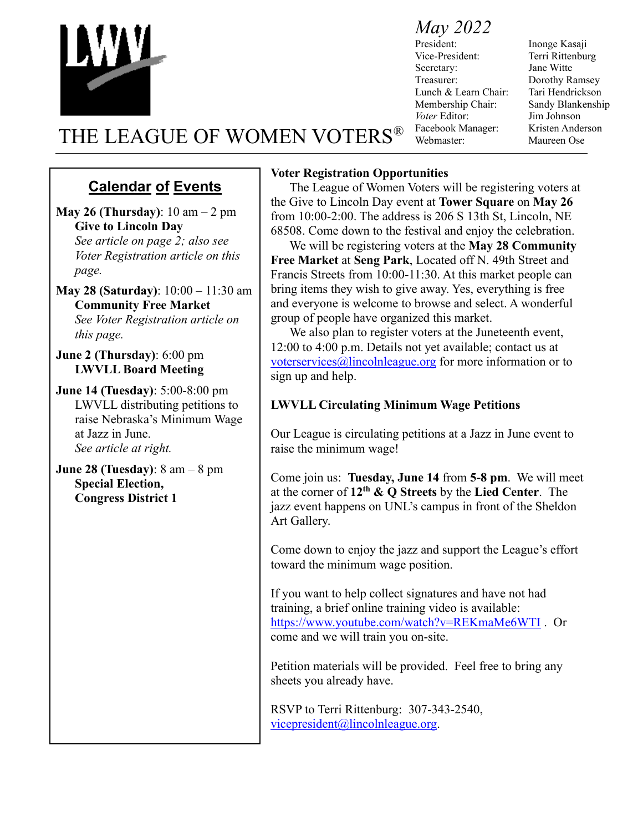

*May 2022*

President: Inonge Kasaji Vice-President: Terri Rittenburg Secretary: Jane Witte Treasurer: Dorothy Ramsey Lunch & Learn Chair: Tari Hendrickson Membership Chair: Sandy Blankenship *Voter* Editor: Jim Johnson Facebook Manager: Kristen Anderson Webmaster: Maureen Ose

# THE LEAGUE OF WOMEN VOTERS®

## **Calendar of Events**

**May 26 (Thursday)**: 10 am – 2 pm **Give to Lincoln Day**

*See article on page 2; also see Voter Registration article on this page.*

**May 28 (Saturday)**: 10:00 – 11:30 am **Community Free Market** *See Voter Registration article on this page.*

**June 2 (Thursday)**: 6:00 pm **LWVLL Board Meeting**

**June 14 (Tuesday)**: 5:00-8:00 pm LWVLL distributing petitions to raise Nebraska's Minimum Wage at Jazz in June. *See article at right.*

**June 28 (Tuesday)**: 8 am – 8 pm **Special Election, Congress District 1**

#### **Voter Registration Opportunities**

The League of Women Voters will be registering voters at the Give to Lincoln Day event at **Tower Square** on **May 26** from 10:00-2:00. The address is 206 S 13th St, Lincoln, NE 68508. Come down to the festival and enjoy the celebration.

We will be registering voters at the **May 28 Community Free Market** at **Seng Park**, Located off N. 49th Street and Francis Streets from 10:00-11:30. At this market people can bring items they wish to give away. Yes, everything is free and everyone is welcome to browse and select. A wonderful group of people have organized this market.

We also plan to register voters at the Juneteenth event, 12:00 to 4:00 p.m. Details not yet available; contact us at [voterservices@lincolnleague.org](mailto:voterservices@lincolnleague.org) for more information or to sign up and help.

### **LWVLL Circulating Minimum Wage Petitions**

Our League is circulating petitions at a Jazz in June event to raise the minimum wage!

Come join us: **Tuesday, June 14** from **5-8 pm**. We will meet at the corner of **12th & Q Streets** by the **Lied Center**. The jazz event happens on UNL's campus in front of the Sheldon Art Gallery.

Come down to enjoy the jazz and support the League's effort toward the minimum wage position.

If you want to help collect signatures and have not had training, a brief online training video is available: <https://www.youtube.com/watch?v=REKmaMe6WTI> . Or come and we will train you on-site.

Petition materials will be provided. Feel free to bring any sheets you already have.

RSVP to Terri Rittenburg: 307-343-2540, [vicepresident@lincolnleague.org.](mailto:vicepresident@lincolnleague.org)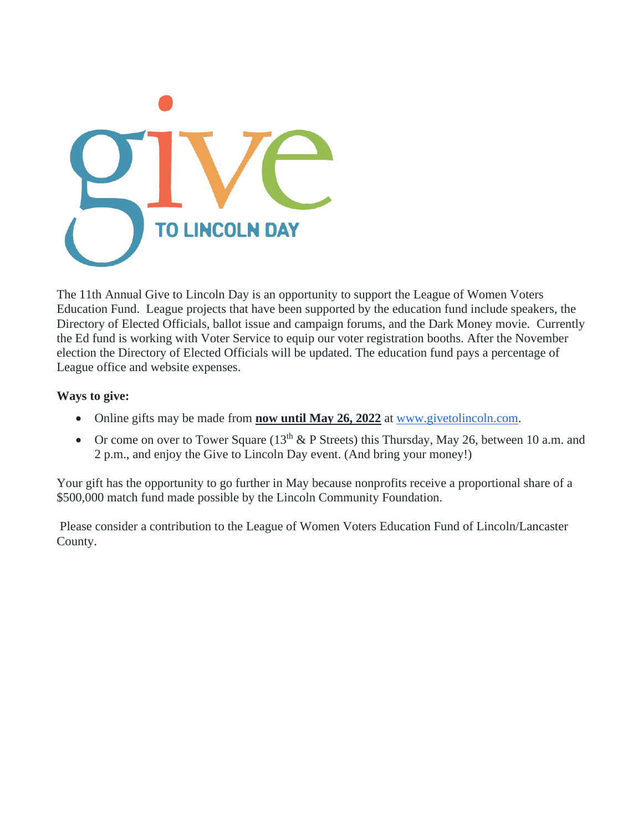

The 11th Annual Give to Lincoln Day is an opportunity to support the League of Women Voters Education Fund. League projects that have been supported by the education fund include speakers, the Directory of Elected Officials, ballot issue and campaign forums, and the Dark Money movie. Currently the Ed fund is working with Voter Service to equip our voter registration booths. After the November election the Directory of Elected Officials will be updated. The education fund pays a percentage of League office and website expenses.

#### **Ways to give:**

- Online gifts may be made from **now until May 26, 2022** at [www.givetolincoln.com.](http://www.givetolincoln.com/)
- Or come on over to Tower Square  $(13<sup>th</sup> \& P$  Streets) this Thursday, May 26, between 10 a.m. and 2 p.m., and enjoy the Give to Lincoln Day event. (And bring your money!)

Your gift has the opportunity to go further in May because nonprofits receive a proportional share of a \$500,000 match fund made possible by the Lincoln Community Foundation.

Please consider a contribution to the League of Women Voters Education Fund of Lincoln/Lancaster County.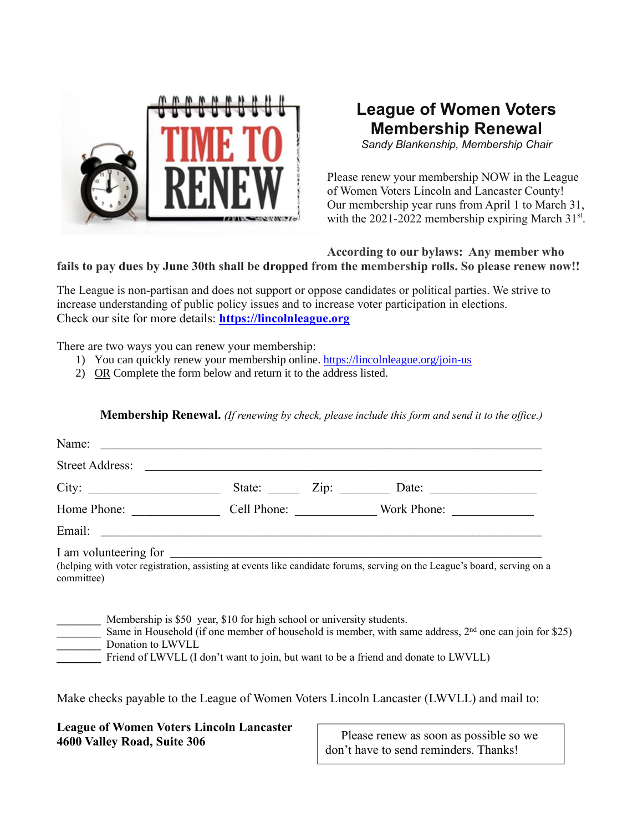

## **League of Women Voters Membership Renewal**

*Sandy Blankenship, Membership Chair*

Please renew your membership NOW in the League of Women Voters Lincoln and Lancaster County! Our membership year runs from April 1 to March 31, with the 2021-2022 membership expiring March 31<sup>st</sup>.

#### **According to our bylaws: Any member who fails to pay dues by June 30th shall be dropped from the membership rolls. So please renew now!!**

The League is non-partisan and does not support or oppose candidates or political parties. We strive to increase understanding of public policy issues and to increase voter participation in elections. Check our site for more details: **[https://lincolnleague.org](https://lincolnleague.org/)**

There are two ways you can renew your membership:

- 1) You can quickly renew your membership online. <https://lincolnleague.org/join-us>
- 2) OR Complete the form below and return it to the address listed.

**Membership Renewal.** *(If renewing by check, please include this form and send it to the office.)*

| <b>Street Address:</b> |                                                                                                                                                                                   |                                                                                                                          |                                                     |
|------------------------|-----------------------------------------------------------------------------------------------------------------------------------------------------------------------------------|--------------------------------------------------------------------------------------------------------------------------|-----------------------------------------------------|
| City:                  |                                                                                                                                                                                   | State: Zip: Date:                                                                                                        | <u> 1980 - Andrea Station Barbara, amerikan per</u> |
|                        |                                                                                                                                                                                   | Cell Phone: Work Phone:                                                                                                  |                                                     |
|                        |                                                                                                                                                                                   |                                                                                                                          |                                                     |
| committee)             |                                                                                                                                                                                   | (helping with voter registration, assisting at events like candidate forums, serving on the League's board, serving on a |                                                     |
|                        | Membership is \$50 year, \$10 for high school or university students.<br>Same in Household (if one member of household is member, with same address, $2nd$ one can join for \$25) |                                                                                                                          |                                                     |

**\_\_\_\_\_\_\_\_** Donation to LWVLL

Friend of LWVLL (I don't want to join, but want to be a friend and donate to LWVLL)

Make checks payable to the League of Women Voters Lincoln Lancaster (LWVLL) and mail to:

**League of Women Voters Lincoln Lancaster 4600 Valley Road, Suite 306** Please renew as soon as possible so we

don't have to send reminders. Thanks!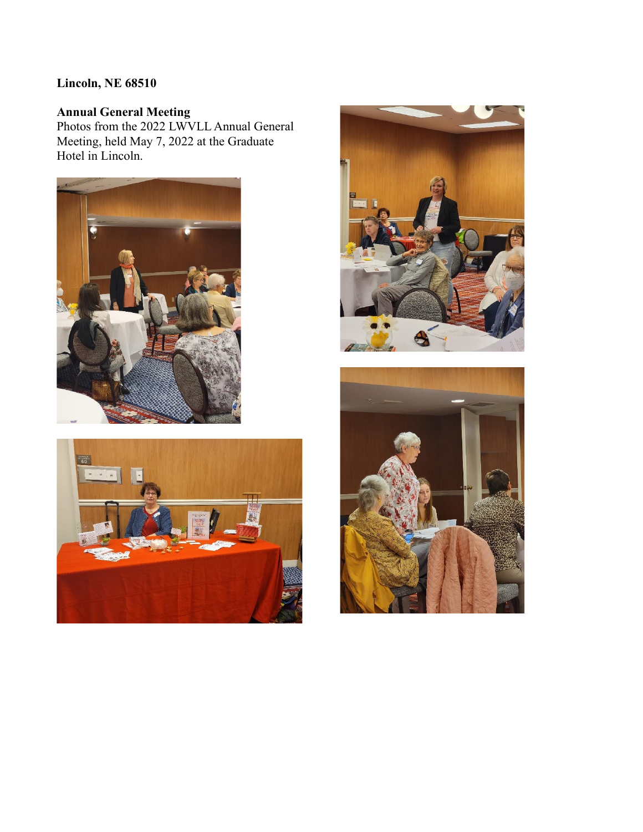### **Lincoln, NE 68510**

#### **Annual General Meeting**

Photos from the 2022 LWVLL Annual General Meeting, held May 7, 2022 at the Graduate Hotel in Lincoln.







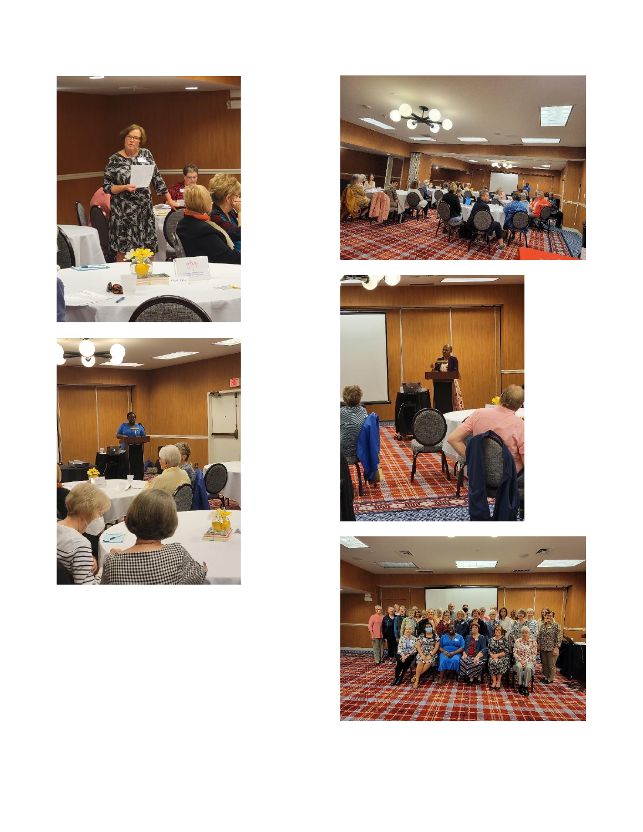